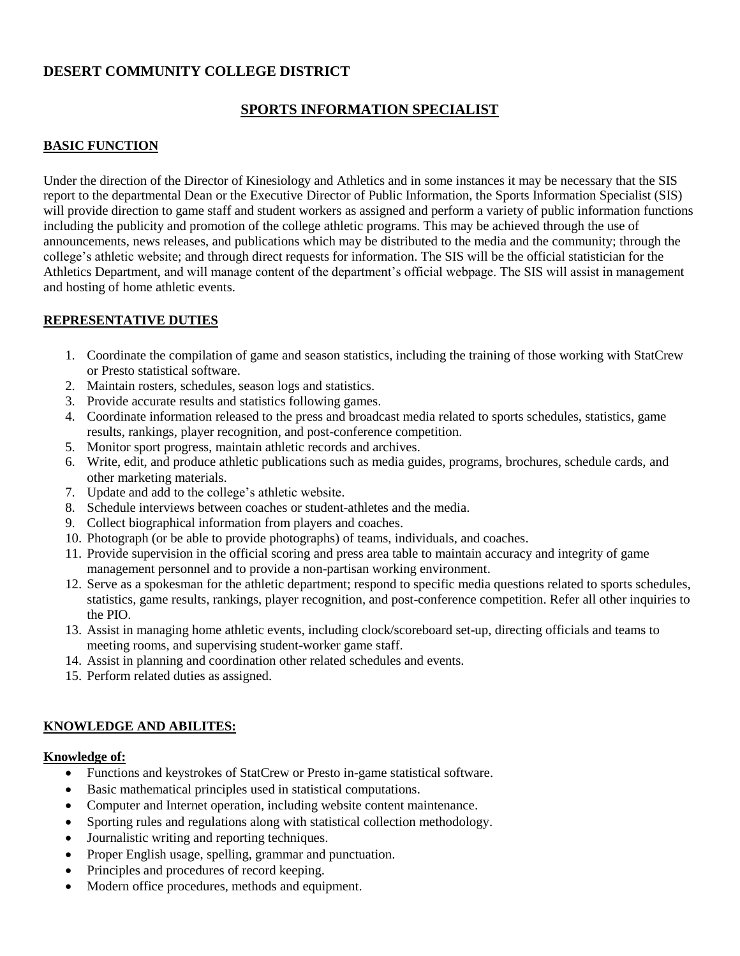## **DESERT COMMUNITY COLLEGE DISTRICT**

# **SPORTS INFORMATION SPECIALIST**

### **BASIC FUNCTION**

Under the direction of the Director of Kinesiology and Athletics and in some instances it may be necessary that the SIS report to the departmental Dean or the Executive Director of Public Information, the Sports Information Specialist (SIS) will provide direction to game staff and student workers as assigned and perform a variety of public information functions including the publicity and promotion of the college athletic programs. This may be achieved through the use of announcements, news releases, and publications which may be distributed to the media and the community; through the college's athletic website; and through direct requests for information. The SIS will be the official statistician for the Athletics Department, and will manage content of the department's official webpage. The SIS will assist in management and hosting of home athletic events.

### **REPRESENTATIVE DUTIES**

- 1. Coordinate the compilation of game and season statistics, including the training of those working with StatCrew or Presto statistical software.
- 2. Maintain rosters, schedules, season logs and statistics.
- 3. Provide accurate results and statistics following games.
- 4. Coordinate information released to the press and broadcast media related to sports schedules, statistics, game results, rankings, player recognition, and post-conference competition.
- 5. Monitor sport progress, maintain athletic records and archives.
- 6. Write, edit, and produce athletic publications such as media guides, programs, brochures, schedule cards, and other marketing materials.
- 7. Update and add to the college's athletic website.
- 8. Schedule interviews between coaches or student-athletes and the media.
- 9. Collect biographical information from players and coaches.
- 10. Photograph (or be able to provide photographs) of teams, individuals, and coaches.
- 11. Provide supervision in the official scoring and press area table to maintain accuracy and integrity of game management personnel and to provide a non-partisan working environment.
- 12. Serve as a spokesman for the athletic department; respond to specific media questions related to sports schedules, statistics, game results, rankings, player recognition, and post-conference competition. Refer all other inquiries to the PIO.
- 13. Assist in managing home athletic events, including clock/scoreboard set-up, directing officials and teams to meeting rooms, and supervising student-worker game staff.
- 14. Assist in planning and coordination other related schedules and events.
- 15. Perform related duties as assigned.

## **KNOWLEDGE AND ABILITES:**

#### **Knowledge of:**

- Functions and keystrokes of StatCrew or Presto in-game statistical software.
- Basic mathematical principles used in statistical computations.
- Computer and Internet operation, including website content maintenance.
- Sporting rules and regulations along with statistical collection methodology.
- Journalistic writing and reporting techniques.
- Proper English usage, spelling, grammar and punctuation.
- Principles and procedures of record keeping.
- Modern office procedures, methods and equipment.